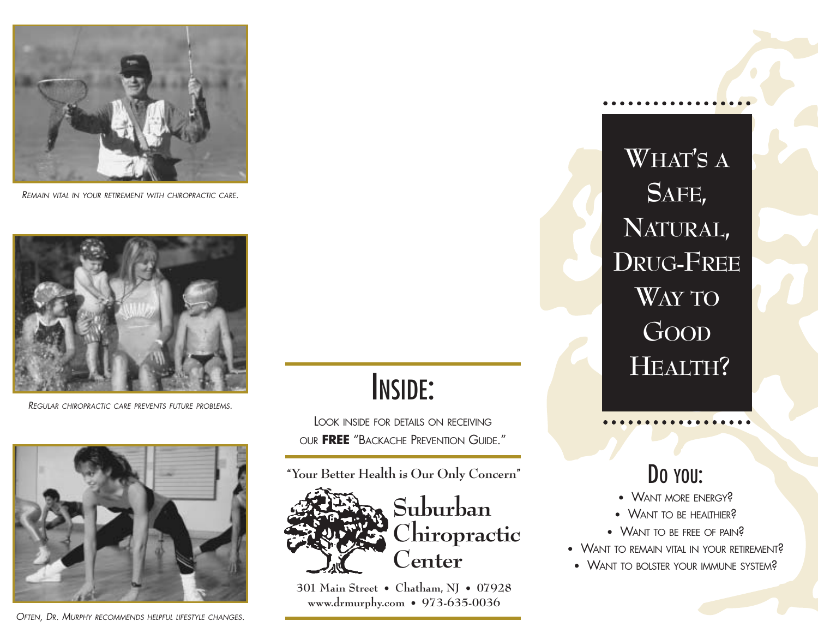

*REMAIN VITAL IN YOUR RETIREMENT WITH CHIROPRACTIC CARE.*



*REGULAR CHIROPRACTIC CARE PREVENTS FUTURE PROBLEMS.*



*OFTEN, DR. MURPHY RECOMMENDS HELPFUL LIFESTYLE CHANGES.*

# INSIDE:

LOOK INSIDE FOR DETAILS ON RECEIVING OUR **FREE** "BACKACHE PREVENTION GUIDE."

**"Your Better Health is Our Only Concern"**



**Suburban Chiropractic Center**

**301 Main Street • Chatham, NJ • 07928 www.drmurphy.com • 973-635-0036** 

**WHAT'S A SAFE, NATURAL, DRUG-FREE WAY TO GOOD HEALTH?**

### Do You:

- WANT MORE ENERGY?
- WANT TO BE HEALTHIER?
- WANT TO BE FREE OF PAIN<sup>2</sup>
- WANT TO REMAIN VITAL IN YOUR RETIREMENT?
- WANT TO BOLSTER YOUR IMMUNE SYSTEM?